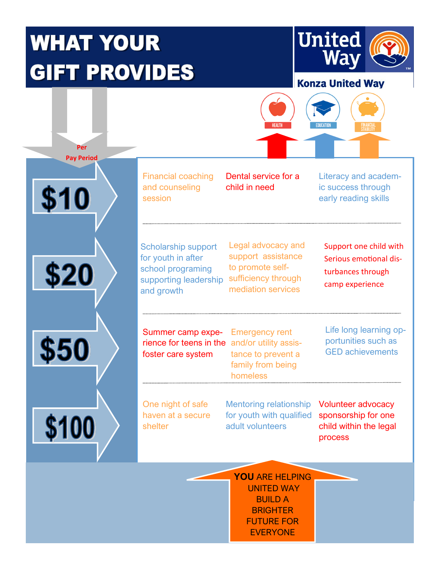## **WHAT YOUR GIFT PROVIDES**

**Per Pay Period**

\$10

\$20

\$50

\$100



#### **Konza United Wav**



Financial coaching and counseling session

Dental service for a child in need

Literacy and academic success through early reading skills

Scholarship support for youth in after school programing supporting leadership and growth

Legal advocacy and support assistance to promote selfsufficiency through mediation services

Support one child with Serious emotional disturbances through camp experience

rience for teens in the and/or utility assis-Summer camp expefoster care system

Emergency rent tance to prevent a family from being homeless

Life long learning opportunities such as GED achievements

One night of safe haven at a secure shelter

Mentoring relationship for youth with qualified adult volunteers

Volunteer advocacy sponsorship for one child within the legal process

**YOU** ARE HELPING UNITED WAY BUILD A **BRIGHTER** FUTURE FOR EVERYONE